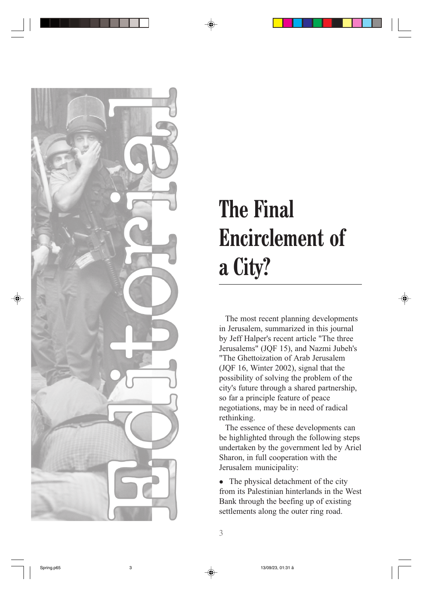

## The Final Encirclement of a City?

The most recent planning developments in Jerusalem, summarized in this journal by Jeff Halper's recent article "The three Jerusalems" (JQF 15), and Nazmi Jubeh's "The Ghettoization of Arab Jerusalem (JQF 16, Winter 2002), signal that the possibility of solving the problem of the city's future through a shared partnership, so far a principle feature of peace negotiations, may be in need of radical rethinking.

The essence of these developments can be highlighted through the following steps undertaken by the government led by Ariel Sharon, in full cooperation with the Jerusalem municipality:

• The physical detachment of the city from its Palestinian hinterlands in the West Bank through the beefing up of existing settlements along the outer ring road.